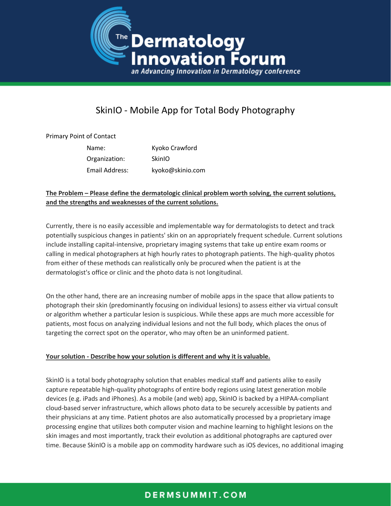

# SkinIO - Mobile App for Total Body Photography

#### Primary Point of Contact

| Name:          | Kyoko Crawford   |
|----------------|------------------|
| Organization:  | <b>SkinIO</b>    |
| Email Address: | kyoko@skinio.com |

#### **The Problem – Please define the dermatologic clinical problem worth solving, the current solutions, and the strengths and weaknesses of the current solutions.**

Currently, there is no easily accessible and implementable way for dermatologists to detect and track potentially suspicious changes in patients' skin on an appropriately frequent schedule. Current solutions include installing capital-intensive, proprietary imaging systems that take up entire exam rooms or calling in medical photographers at high hourly rates to photograph patients. The high-quality photos from either of these methods can realistically only be procured when the patient is at the dermatologist's office or clinic and the photo data is not longitudinal.

On the other hand, there are an increasing number of mobile apps in the space that allow patients to photograph their skin (predominantly focusing on individual lesions) to assess either via virtual consult or algorithm whether a particular lesion is suspicious. While these apps are much more accessible for patients, most focus on analyzing individual lesions and not the full body, which places the onus of targeting the correct spot on the operator, who may often be an uninformed patient.

#### **Your solution - Describe how your solution is different and why it is valuable.**

SkinIO is a total body photography solution that enables medical staff and patients alike to easily capture repeatable high-quality photographs of entire body regions using latest generation mobile devices (e.g. iPads and iPhones). As a mobile (and web) app, SkinIO is backed by a HIPAA-compliant cloud-based server infrastructure, which allows photo data to be securely accessible by patients and their physicians at any time. Patient photos are also automatically processed by a proprietary image processing engine that utilizes both computer vision and machine learning to highlight lesions on the skin images and most importantly, track their evolution as additional photographs are captured over time. Because SkinIO is a mobile app on commodity hardware such as iOS devices, no additional imaging

# DERMSUMMIT.COM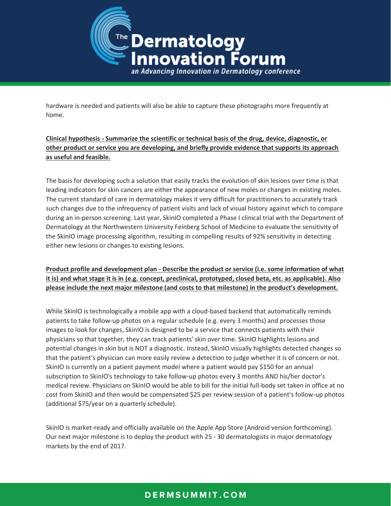

hardware is needed and patients will also be able to capture these photographs more frequently at home.

### **Clinical hypothesis - Summarize the scientific or technical basis of the drug, device, diagnostic, or other product or service you are developing, and briefly provide evidence that supports its approach as useful and feasible.**

The basis for developing such a solution that easily tracks the evolution of skin lesions over time is that leading indicators for skin cancers are either the appearance of new moles or changes in existing moles. The current standard of care in dermatology makes it very difficult for practitioners to accurately track such changes due to the infrequency of patient visits and lack of visual history against which to compare during an in-person screening. Last year, SkinIO completed a Phase I clinical trial with the Department of Dermatology at the Northwestern University Feinberg School of Medicine to evaluate the sensitivity of the SkinIO image processing algorithm, resulting in compelling results of 92% sensitivity in detecting either new lesions or changes to existing lesions.

### **Product profile and development plan - Describe the product or service (i.e. some information of what it is) and what stage it is in (e.g. concept, preclinical, prototyped, closed beta, etc. as applicable). Also please include the next major milestone (and costs to that milestone) in the product's development.**

While SkinIO is technologically a mobile app with a cloud-based backend that automatically reminds patients to take follow-up photos on a regular schedule (e.g. every 3 months) and processes those images to look for changes, SkinIO is designed to be a service that connects patients with their physicians so that together, they can track patients' skin over time. SkinIO highlights lesions and potential changes in skin but is NOT a diagnostic. Instead, SkinIO visually highlights detected changes so that the patient's physician can more easily review a detection to judge whether it is of concern or not. SkinIO is currently on a patient payment model where a patient would pay \$150 for an annual subscription to SkinIO's technology to take follow-up photos every 3 months AND his/her doctor's medical review. Physicians on SkinIO would be able to bill for the initial full-body set taken in office at no cost from SkinIO and then would be compensated \$25 per review session of a patient's follow-up photos (additional \$75/year on a quarterly schedule).

SkinIO is market-ready and officially available on the Apple App Store (Android version forthcoming). Our next major milestone is to deploy the product with 25 - 30 dermatologists in major dermatology markets by the end of 2017.

# DERMSUMMIT.COM